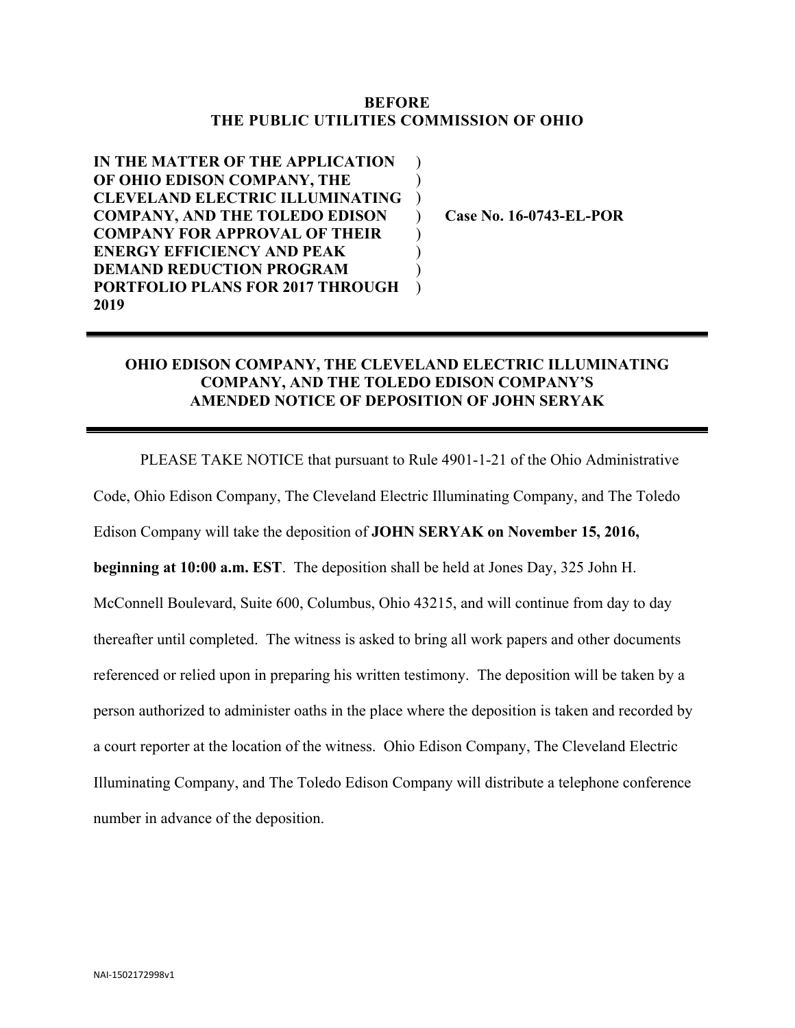## **BEFORE THE PUBLIC UTILITIES COMMISSION OF OHIO**

 $\mathcal{L}$  $\mathcal{L}$ )  $\mathcal{L}$  $\mathcal{L}$  $\mathcal{L}$ )  $\mathcal{L}$ 

**IN THE MATTER OF THE APPLICATION OF OHIO EDISON COMPANY, THE CLEVELAND ELECTRIC ILLUMINATING COMPANY, AND THE TOLEDO EDISON COMPANY FOR APPROVAL OF THEIR ENERGY EFFICIENCY AND PEAK DEMAND REDUCTION PROGRAM PORTFOLIO PLANS FOR 2017 THROUGH 2019**

**Case No. 16-0743-EL-POR**

## **OHIO EDISON COMPANY, THE CLEVELAND ELECTRIC ILLUMINATING COMPANY, AND THE TOLEDO EDISON COMPANY'S AMENDED NOTICE OF DEPOSITION OF JOHN SERYAK**

PLEASE TAKE NOTICE that pursuant to Rule 4901-1-21 of the Ohio Administrative Code, Ohio Edison Company, The Cleveland Electric Illuminating Company, and The Toledo Edison Company will take the deposition of **JOHN SERYAK on November 15, 2016, beginning at 10:00 a.m. EST**. The deposition shall be held at Jones Day, 325 John H. McConnell Boulevard, Suite 600, Columbus, Ohio 43215, and will continue from day to day thereafter until completed. The witness is asked to bring all work papers and other documents referenced or relied upon in preparing his written testimony. The deposition will be taken by a person authorized to administer oaths in the place where the deposition is taken and recorded by a court reporter at the location of the witness. Ohio Edison Company, The Cleveland Electric Illuminating Company, and The Toledo Edison Company will distribute a telephone conference number in advance of the deposition.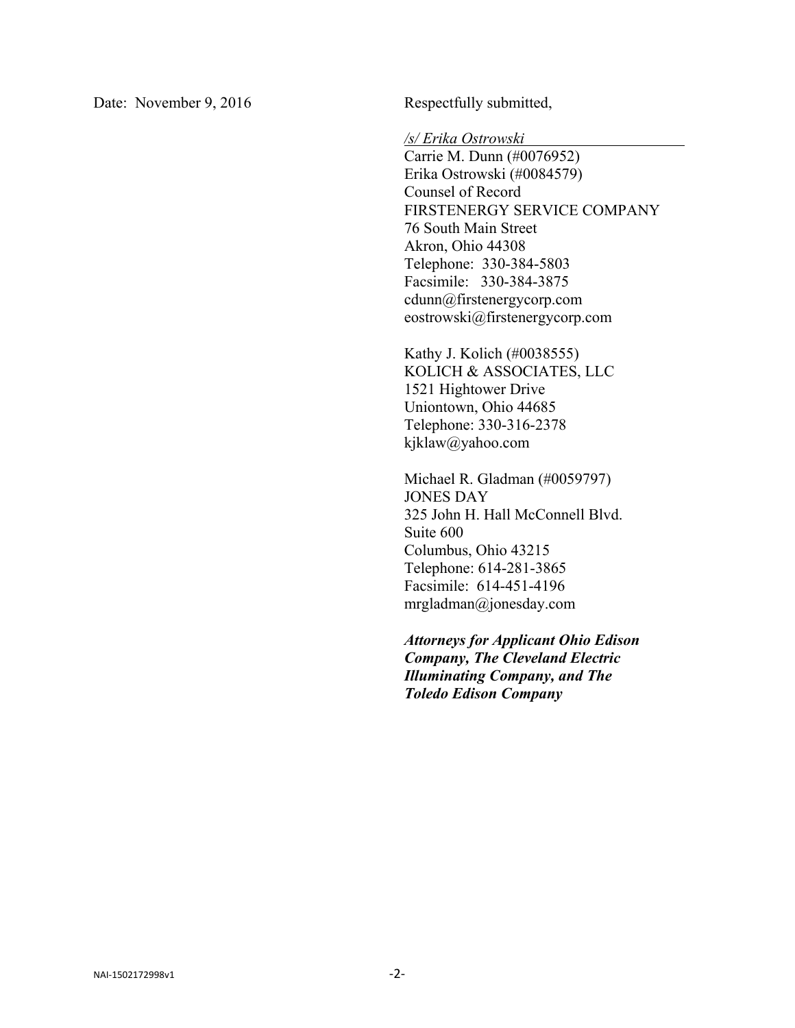Date: November 9, 2016 Respectfully submitted,

*/s/ Erika Ostrowski* 

Carrie M. Dunn (#0076952) Erika Ostrowski (#0084579) Counsel of Record FIRSTENERGY SERVICE COMPANY 76 South Main Street Akron, Ohio 44308 Telephone: 330-384-5803 Facsimile: 330-384-3875 cdunn@firstenergycorp.com eostrowski@firstenergycorp.com

Kathy J. Kolich (#0038555) KOLICH & ASSOCIATES, LLC 1521 Hightower Drive Uniontown, Ohio 44685 Telephone: 330-316-2378 kjklaw@yahoo.com

Michael R. Gladman (#0059797) JONES DAY 325 John H. Hall McConnell Blvd. Suite 600 Columbus, Ohio 43215 Telephone: 614-281-3865 Facsimile: 614-451-4196 mrgladman@jonesday.com

*Attorneys for Applicant Ohio Edison Company, The Cleveland Electric Illuminating Company, and The Toledo Edison Company*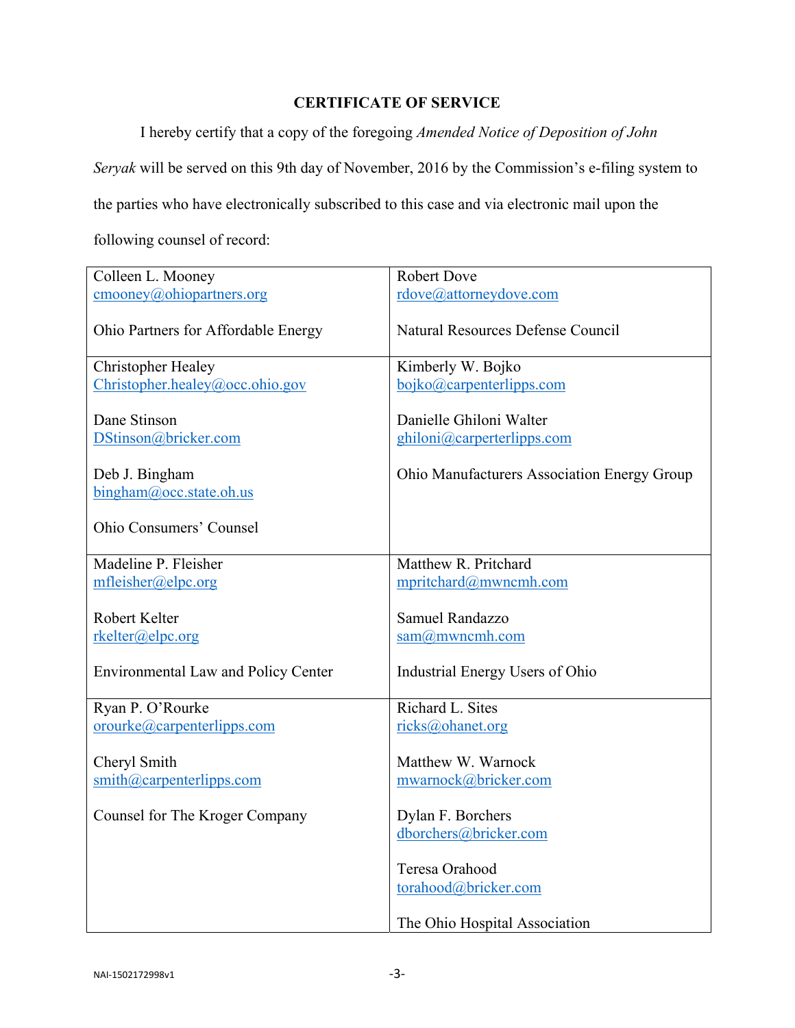## **CERTIFICATE OF SERVICE**

I hereby certify that a copy of the foregoing *Amended Notice of Deposition of John* 

*Seryak* will be served on this 9th day of November, 2016 by the Commission's e-filing system to

the parties who have electronically subscribed to this case and via electronic mail upon the

following counsel of record:

| Colleen L. Mooney                                                               | <b>Robert Dove</b>                                                      |
|---------------------------------------------------------------------------------|-------------------------------------------------------------------------|
| $\text{cmooney}(a)$ ohiopartners.org                                            | rdove@attorneydove.com                                                  |
| Ohio Partners for Affordable Energy                                             | <b>Natural Resources Defense Council</b>                                |
| <b>Christopher Healey</b>                                                       | Kimberly W. Bojko                                                       |
| Christopher.healey@occ.ohio.gov                                                 | bojko@carpenterlipps.com                                                |
| Dane Stinson<br>DStinson@bricker.com                                            | Danielle Ghiloni Walter<br>ghiloni@carperterlipps.com                   |
| Deb J. Bingham                                                                  | Ohio Manufacturers Association Energy Group                             |
| $bingham@$ , occ. state. oh. us                                                 |                                                                         |
| <b>Ohio Consumers' Counsel</b>                                                  |                                                                         |
| Madeline P. Fleisher                                                            | Matthew R. Pritchard                                                    |
| mfleisher@elpc.org                                                              | mpritchard@mwncmh.com                                                   |
| Robert Kelter<br>rkelter@elpc.org<br><b>Environmental Law and Policy Center</b> | Samuel Randazzo<br>$sam@m$ wncmh.com<br>Industrial Energy Users of Ohio |
| Ryan P. O'Rourke                                                                | Richard L. Sites                                                        |
| orourke@carpenterlipps.com                                                      | ricks@ohanet.org                                                        |
| Cheryl Smith<br>$\sinith(\omega)$ carpenterlipps.com                            | Matthew W. Warnock<br>mwarnock@bricker.com                              |
| Counsel for The Kroger Company                                                  | Dylan F. Borchers                                                       |
|                                                                                 | dborchers@bricker.com                                                   |
|                                                                                 | Teresa Orahood<br>torahood@bricker.com<br>The Ohio Hospital Association |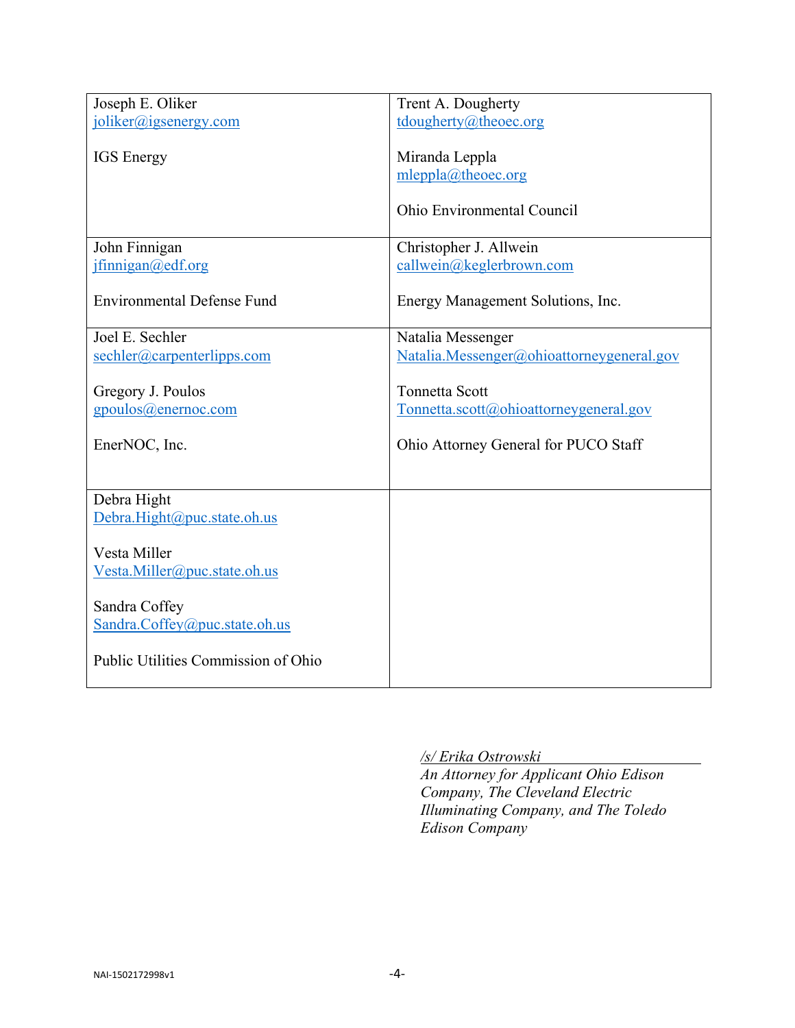| joliker@igsenergy.com<br>tdougherty@theoec.org<br><b>IGS</b> Energy<br>Miranda Leppla<br>mleppla@theoec.org<br>Ohio Environmental Council<br>Christopher J. Allwein<br>John Finnigan<br>ifining an @edf.org<br>callwein@keglerbrown.com<br><b>Environmental Defense Fund</b><br>Energy Management Solutions, Inc.<br>Joel E. Sechler<br>Natalia Messenger<br>sechler@carpenterlipps.com<br>Natalia.Messenger@ohioattorneygeneral.gov<br><b>Tonnetta Scott</b><br>Gregory J. Poulos<br>gpoulos@enernoc.com<br>Tonnetta.scott@ohioattorneygeneral.gov<br>EnerNOC, Inc.<br>Ohio Attorney General for PUCO Staff<br>Debra Hight<br>Debra.Hight@puc.state.oh.us<br>Vesta Miller<br>Vesta.Miller@puc.state.oh.us<br>Sandra Coffey<br>Sandra.Coffey@puc.state.oh.us<br>Public Utilities Commission of Ohio |                  |                    |
|-----------------------------------------------------------------------------------------------------------------------------------------------------------------------------------------------------------------------------------------------------------------------------------------------------------------------------------------------------------------------------------------------------------------------------------------------------------------------------------------------------------------------------------------------------------------------------------------------------------------------------------------------------------------------------------------------------------------------------------------------------------------------------------------------------|------------------|--------------------|
|                                                                                                                                                                                                                                                                                                                                                                                                                                                                                                                                                                                                                                                                                                                                                                                                     | Joseph E. Oliker | Trent A. Dougherty |
|                                                                                                                                                                                                                                                                                                                                                                                                                                                                                                                                                                                                                                                                                                                                                                                                     |                  |                    |
|                                                                                                                                                                                                                                                                                                                                                                                                                                                                                                                                                                                                                                                                                                                                                                                                     |                  |                    |
|                                                                                                                                                                                                                                                                                                                                                                                                                                                                                                                                                                                                                                                                                                                                                                                                     |                  |                    |
|                                                                                                                                                                                                                                                                                                                                                                                                                                                                                                                                                                                                                                                                                                                                                                                                     |                  |                    |
|                                                                                                                                                                                                                                                                                                                                                                                                                                                                                                                                                                                                                                                                                                                                                                                                     |                  |                    |
|                                                                                                                                                                                                                                                                                                                                                                                                                                                                                                                                                                                                                                                                                                                                                                                                     |                  |                    |
|                                                                                                                                                                                                                                                                                                                                                                                                                                                                                                                                                                                                                                                                                                                                                                                                     |                  |                    |
|                                                                                                                                                                                                                                                                                                                                                                                                                                                                                                                                                                                                                                                                                                                                                                                                     |                  |                    |
|                                                                                                                                                                                                                                                                                                                                                                                                                                                                                                                                                                                                                                                                                                                                                                                                     |                  |                    |
|                                                                                                                                                                                                                                                                                                                                                                                                                                                                                                                                                                                                                                                                                                                                                                                                     |                  |                    |
|                                                                                                                                                                                                                                                                                                                                                                                                                                                                                                                                                                                                                                                                                                                                                                                                     |                  |                    |
|                                                                                                                                                                                                                                                                                                                                                                                                                                                                                                                                                                                                                                                                                                                                                                                                     |                  |                    |
|                                                                                                                                                                                                                                                                                                                                                                                                                                                                                                                                                                                                                                                                                                                                                                                                     |                  |                    |
|                                                                                                                                                                                                                                                                                                                                                                                                                                                                                                                                                                                                                                                                                                                                                                                                     |                  |                    |
|                                                                                                                                                                                                                                                                                                                                                                                                                                                                                                                                                                                                                                                                                                                                                                                                     |                  |                    |
|                                                                                                                                                                                                                                                                                                                                                                                                                                                                                                                                                                                                                                                                                                                                                                                                     |                  |                    |
|                                                                                                                                                                                                                                                                                                                                                                                                                                                                                                                                                                                                                                                                                                                                                                                                     |                  |                    |
|                                                                                                                                                                                                                                                                                                                                                                                                                                                                                                                                                                                                                                                                                                                                                                                                     |                  |                    |
|                                                                                                                                                                                                                                                                                                                                                                                                                                                                                                                                                                                                                                                                                                                                                                                                     |                  |                    |
|                                                                                                                                                                                                                                                                                                                                                                                                                                                                                                                                                                                                                                                                                                                                                                                                     |                  |                    |
|                                                                                                                                                                                                                                                                                                                                                                                                                                                                                                                                                                                                                                                                                                                                                                                                     |                  |                    |
|                                                                                                                                                                                                                                                                                                                                                                                                                                                                                                                                                                                                                                                                                                                                                                                                     |                  |                    |
|                                                                                                                                                                                                                                                                                                                                                                                                                                                                                                                                                                                                                                                                                                                                                                                                     |                  |                    |
|                                                                                                                                                                                                                                                                                                                                                                                                                                                                                                                                                                                                                                                                                                                                                                                                     |                  |                    |
|                                                                                                                                                                                                                                                                                                                                                                                                                                                                                                                                                                                                                                                                                                                                                                                                     |                  |                    |
|                                                                                                                                                                                                                                                                                                                                                                                                                                                                                                                                                                                                                                                                                                                                                                                                     |                  |                    |
|                                                                                                                                                                                                                                                                                                                                                                                                                                                                                                                                                                                                                                                                                                                                                                                                     |                  |                    |
|                                                                                                                                                                                                                                                                                                                                                                                                                                                                                                                                                                                                                                                                                                                                                                                                     |                  |                    |
|                                                                                                                                                                                                                                                                                                                                                                                                                                                                                                                                                                                                                                                                                                                                                                                                     |                  |                    |
|                                                                                                                                                                                                                                                                                                                                                                                                                                                                                                                                                                                                                                                                                                                                                                                                     |                  |                    |
|                                                                                                                                                                                                                                                                                                                                                                                                                                                                                                                                                                                                                                                                                                                                                                                                     |                  |                    |
|                                                                                                                                                                                                                                                                                                                                                                                                                                                                                                                                                                                                                                                                                                                                                                                                     |                  |                    |
|                                                                                                                                                                                                                                                                                                                                                                                                                                                                                                                                                                                                                                                                                                                                                                                                     |                  |                    |
|                                                                                                                                                                                                                                                                                                                                                                                                                                                                                                                                                                                                                                                                                                                                                                                                     |                  |                    |
|                                                                                                                                                                                                                                                                                                                                                                                                                                                                                                                                                                                                                                                                                                                                                                                                     |                  |                    |
|                                                                                                                                                                                                                                                                                                                                                                                                                                                                                                                                                                                                                                                                                                                                                                                                     |                  |                    |
|                                                                                                                                                                                                                                                                                                                                                                                                                                                                                                                                                                                                                                                                                                                                                                                                     |                  |                    |

*/s/ Erika Ostrowski* 

*An Attorney for Applicant Ohio Edison Company, The Cleveland Electric Illuminating Company, and The Toledo Edison Company*